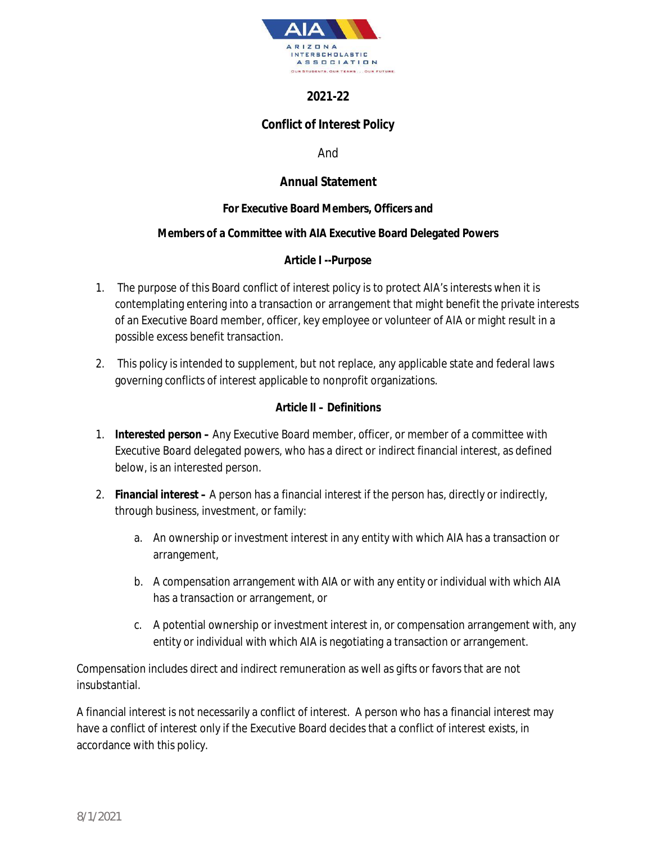

# **2021-22**

# **Conflict of Interest Policy**

And

## **Annual Statement**

### **For Executive Board Members, Officers and**

#### **Members of a Committee with AIA Executive Board Delegated Powers**

**Article I --Purpose** 

- 1. The purpose of this Board conflict of interest policy is to protect AIA's interests when it is contemplating entering into a transaction or arrangement that might benefit the private interests of an Executive Board member, officer, key employee or volunteer of AIA or might result in a possible excess benefit transaction.
- 2. This policy is intended to supplement, but not replace, any applicable state and federal laws governing conflicts of interest applicable to nonprofit organizations.

#### **Article II – Definitions**

- 1. **Interested person** Any Executive Board member, officer, or member of a committee with Executive Board delegated powers, who has a direct or indirect financial interest, as defined below, is an interested person.
- 2. **Financial interest** A person has a financial interest if the person has, directly or indirectly, through business, investment, or family:
	- a. An ownership or investment interest in any entity with which AIA has a transaction or arrangement,
	- b. A compensation arrangement with AIA or with any entity or individual with which AIA has a transaction or arrangement, or
	- c. A potential ownership or investment interest in, or compensation arrangement with, any entity or individual with which AIA is negotiating a transaction or arrangement.

Compensation includes direct and indirect remuneration as well as gifts or favors that are not insubstantial.

A financial interest is not necessarily a conflict of interest. A person who has a financial interest may have a conflict of interest only if the Executive Board decides that a conflict of interest exists, in accordance with this policy.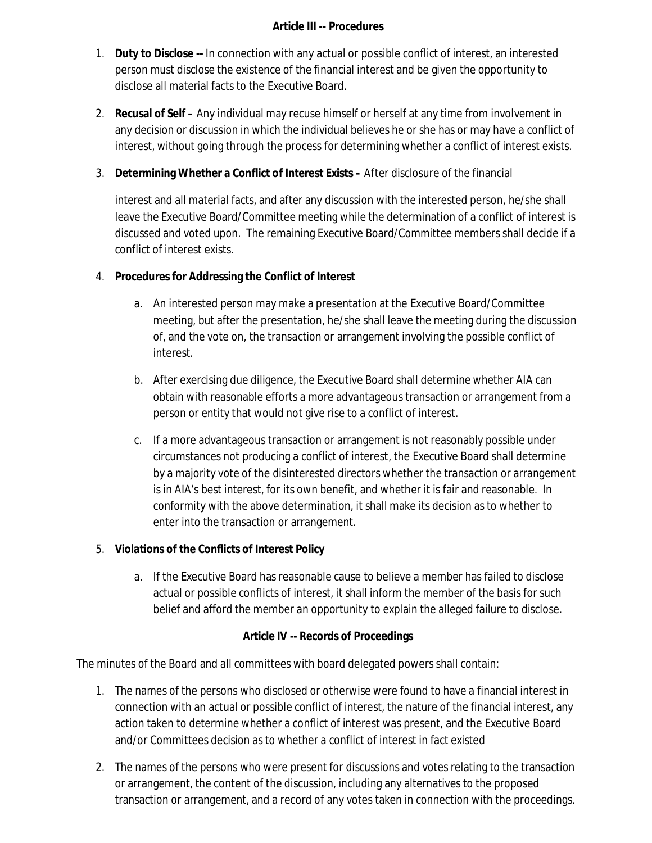### **Article III -- Procedures**

- 1. **Duty to Disclose --** In connection with any actual or possible conflict of interest, an interested person must disclose the existence of the financial interest and be given the opportunity to disclose all material facts to the Executive Board.
- 2. **Recusal of Self** Any individual may recuse himself or herself at any time from involvement in any decision or discussion in which the individual believes he or she has or may have a conflict of interest, without going through the process for determining whether a conflict of interest exists.
- 3. **Determining Whether a Conflict of Interest Exists** After disclosure of the financial

interest and all material facts, and after any discussion with the interested person, he/she shall leave the Executive Board/Committee meeting while the determination of a conflict of interest is discussed and voted upon. The remaining Executive Board/Committee members shall decide if a conflict of interest exists.

- 4. **Procedures for Addressing the Conflict of Interest**
	- a. An interested person may make a presentation at the Executive Board/Committee meeting, but after the presentation, he/she shall leave the meeting during the discussion of, and the vote on, the transaction or arrangement involving the possible conflict of interest.
	- b. After exercising due diligence, the Executive Board shall determine whether AIA can obtain with reasonable efforts a more advantageous transaction or arrangement from a person or entity that would not give rise to a conflict of interest.
	- c. If a more advantageous transaction or arrangement is not reasonably possible under circumstances not producing a conflict of interest, the Executive Board shall determine by a majority vote of the disinterested directors whether the transaction or arrangement is in AIA's best interest, for its own benefit, and whether it is fair and reasonable. In conformity with the above determination, it shall make its decision as to whether to enter into the transaction or arrangement.
- 5. **Violations of the Conflicts of Interest Policy**
	- a. If the Executive Board has reasonable cause to believe a member has failed to disclose actual or possible conflicts of interest, it shall inform the member of the basis for such belief and afford the member an opportunity to explain the alleged failure to disclose.

## **Article IV -- Records of Proceedings**

The minutes of the Board and all committees with board delegated powers shall contain:

- 1. The names of the persons who disclosed or otherwise were found to have a financial interest in connection with an actual or possible conflict of interest, the nature of the financial interest, any action taken to determine whether a conflict of interest was present, and the Executive Board and/or Committees decision as to whether a conflict of interest in fact existed
- 2. The names of the persons who were present for discussions and votes relating to the transaction or arrangement, the content of the discussion, including any alternatives to the proposed transaction or arrangement, and a record of any votes taken in connection with the proceedings.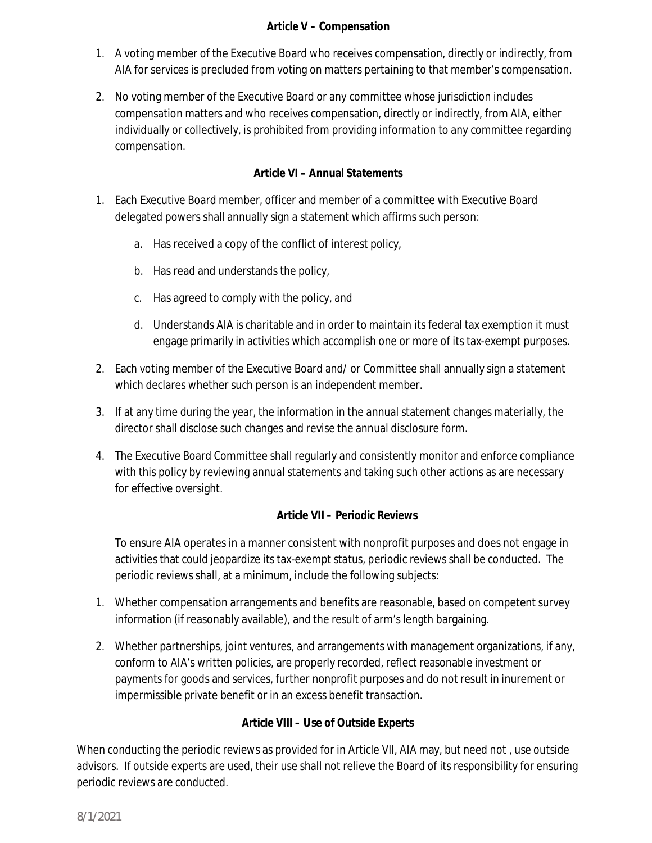## **Article V – Compensation**

- 1. A voting member of the Executive Board who receives compensation, directly or indirectly, from AIA for services is precluded from voting on matters pertaining to that member's compensation.
- 2. No voting member of the Executive Board or any committee whose jurisdiction includes compensation matters and who receives compensation, directly or indirectly, from AIA, either individually or collectively, is prohibited from providing information to any committee regarding compensation.

## **Article VI – Annual Statements**

- 1. Each Executive Board member, officer and member of a committee with Executive Board delegated powers shall annually sign a statement which affirms such person:
	- a. Has received a copy of the conflict of interest policy,
	- b. Has read and understands the policy,
	- c. Has agreed to comply with the policy, and
	- d. Understands AIA is charitable and in order to maintain its federal tax exemption it must engage primarily in activities which accomplish one or more of its tax-exempt purposes.
- 2. Each voting member of the Executive Board and/ or Committee shall annually sign a statement which declares whether such person is an independent member.
- 3. If at any time during the year, the information in the annual statement changes materially, the director shall disclose such changes and revise the annual disclosure form.
- 4. The Executive Board Committee shall regularly and consistently monitor and enforce compliance with this policy by reviewing annual statements and taking such other actions as are necessary for effective oversight.

## **Article VII – Periodic Reviews**

To ensure AIA operates in a manner consistent with nonprofit purposes and does not engage in activities that could jeopardize its tax-exempt status, periodic reviews shall be conducted. The periodic reviews shall, at a minimum, include the following subjects:

- 1. Whether compensation arrangements and benefits are reasonable, based on competent survey information (if reasonably available), and the result of arm's length bargaining.
- 2. Whether partnerships, joint ventures, and arrangements with management organizations, if any, conform to AIA's written policies, are properly recorded, reflect reasonable investment or payments for goods and services, further nonprofit purposes and do not result in inurement or impermissible private benefit or in an excess benefit transaction.

**Article VIII – Use of Outside Experts** 

When conducting the periodic reviews as provided for in Article VII, AIA may, but need not , use outside advisors. If outside experts are used, their use shall not relieve the Board of its responsibility for ensuring periodic reviews are conducted.